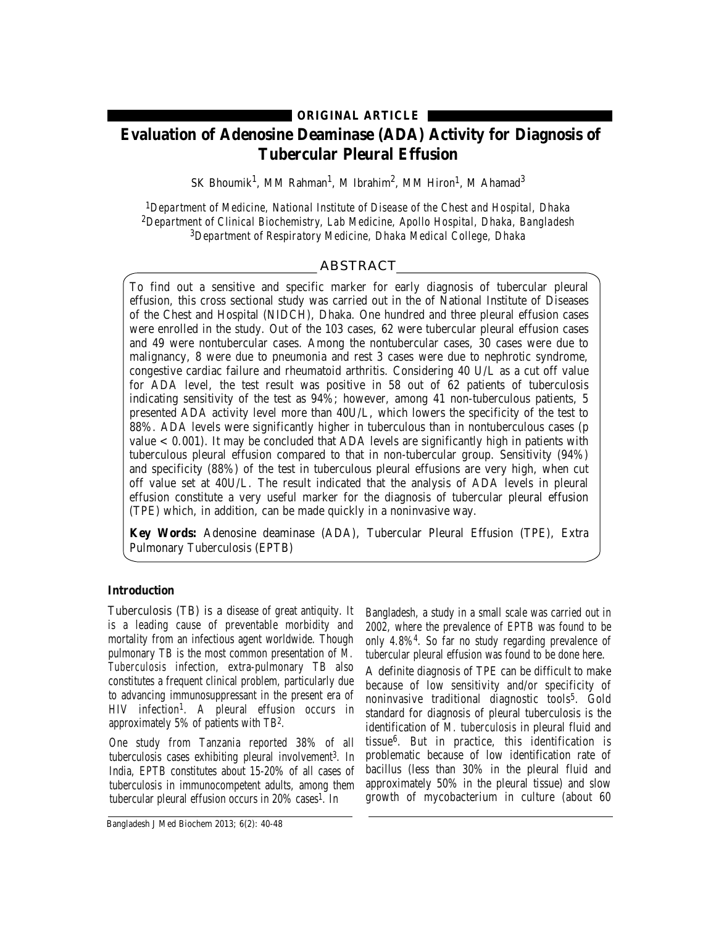**ORIGINAL ARTICLE**

# **Evaluation of Adenosine Deaminase (ADA) Activity for Diagnosis of Tubercular Pleural Effusion**

SK Bhoumik $^1$ , MM Rahman $^1$ , M Ibrahim $^2$ , MM Hiron $^1$ , M Ahamad $^3$ 

*1Department of Medicine, National Institute of Disease of the Chest and Hospital, Dhaka 2Department of Clinical Biochemistry, Lab Medicine, Apollo Hospital, Dhaka, Bangladesh 3Department of Respiratory Medicine, Dhaka Medical College, Dhaka*

# ABSTRACT

To find out a sensitive and specific marker for early diagnosis of tubercular pleural effusion, this cross sectional study was carried out in the of National Institute of Diseases of the Chest and Hospital (NIDCH), Dhaka. One hundred and three pleural effusion cases were enrolled in the study. Out of the 103 cases, 62 were tubercular pleural effusion cases and 49 were nontubercular cases. Among the nontubercular cases, 30 cases were due to malignancy, 8 were due to pneumonia and rest 3 cases were due to nephrotic syndrome, congestive cardiac failure and rheumatoid arthritis. Considering 40 U/L as a cut off value for ADA level, the test result was positive in 58 out of 62 patients of tuberculosis indicating sensitivity of the test as 94%; however, among 41 non-tuberculous patients, 5 presented ADA activity level more than 40U/L, which lowers the specificity of the test to 88%. ADA levels were significantly higher in tuberculous than in nontuberculous cases (p value  $< 0.001$ ). It may be concluded that ADA levels are significantly high in patients with tuberculous pleural effusion compared to that in non-tubercular group. Sensitivity (94%) and specificity (88%) of the test in tuberculous pleural effusions are very high, when cut off value set at 40U/L. The result indicated that the analysis of ADA levels in pleural effusion constitute a very useful marker for the diagnosis of tubercular pleural effusion (TPE) which, in addition, can be made quickly in a noninvasive way.

**Key Words:** Adenosine deaminase (ADA), Tubercular Pleural Effusion (TPE), Extra Pulmonary Tuberculosis (EPTB)

# **Introduction**

Tuberculosis (TB) is a disease of great antiquity. It is a leading cause of preventable morbidity and mortality from an infectious agent worldwide. Though pulmonary TB is the most common presentation of *M. Tuberculosis* infection, extra-pulmonary TB also constitutes a frequent clinical problem, particularly due to advancing immunosuppressant in the present era of HIV infection1. A pleural effusion occurs in approximately 5% of patients with TB2.

One study from Tanzania reported 38% of all tuberculosis cases exhibiting pleural involvement 3. In India, EPTB constitutes about 15-20% of all cases of tuberculosis in immunocompetent adults, among them tubercular pleural effusion occurs in 20% cases1. In

Bangladesh J Med Biochem 2013; 6(2): 40-48

Bangladesh, a study in a small scale was carried out in 2002, where the prevalence of EPTB was found to be only 4.8%4. So far no study regarding prevalence of tubercular pleural effusion was found to be done here.

A definite diagnosis of TPE can be difficult to make because of low sensitivity and/or specificity of noninvasive traditional diagnostic tools<sup>5</sup>. Gold standard for diagnosis of pleural tuberculosis is the identification of *M. tuberculosis* in pleural fluid and tissue6. But in practice, this identification is problematic because of low identification rate of bacillus (less than 30% in the pleural fluid and approximately 50% in the pleural tissue) and slow growth of mycobacterium in culture (about 60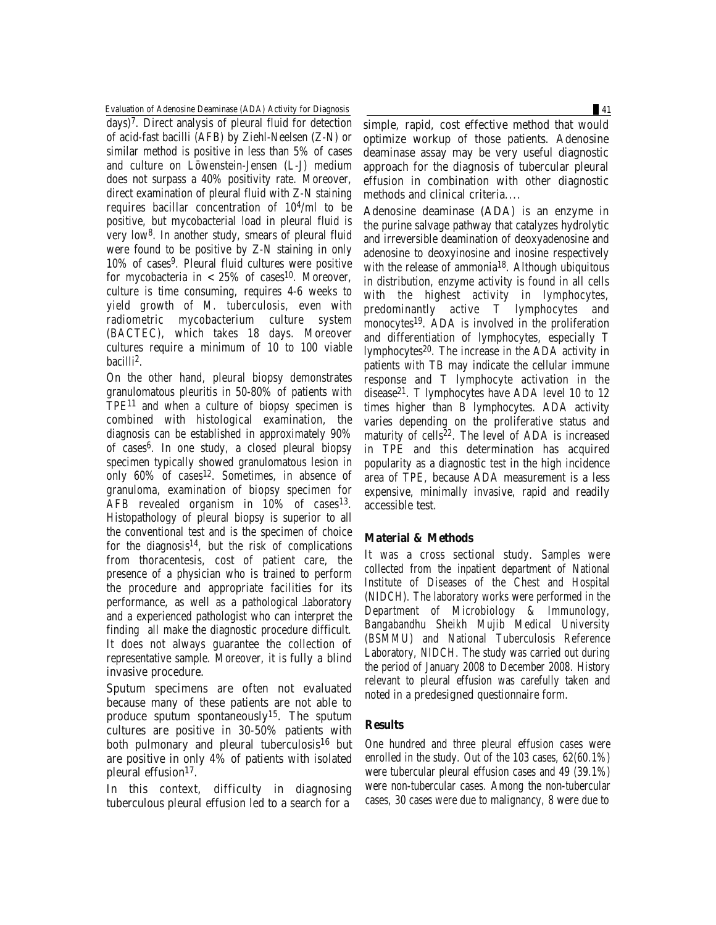Evaluation of Adenosine Deaminase (ADA) Activity for Diagnosis 41

days)7. Direct analysis of pleural fluid for detection of acid-fast bacilli (AFB) by Ziehl-Neelsen (Z-N) or similar method is positive in less than 5% of cases and culture on Löwenstein-Jensen (L-J) medium does not surpass a 40% positivity rate. Moreover, direct examination of pleural fluid with Z-N staining requires bacillar concentration of 104/ml to be positive, but mycobacterial load in pleural fluid is very low8. In another study, smears of pleural fluid were found to be positive by Z-N staining in only 10% of cases9. Pleural fluid cultures were positive for mycobacteria in  $< 25\%$  of cases<sup>10</sup>. Moreover, culture is time consuming, requires 4-6 weeks to yield growth of *M. tuberculosis,* even with radiometric mycobacterium culture system (BACTEC), which takes 18 days. Moreover cultures require a minimum of 10 to 100 viable bacilli 2.

On the other hand, pleural biopsy demonstrates granulomatous pleuritis in 50-80% of patients with TPE11 and when a culture of biopsy specimen is combined with histological examination, the diagnosis can be established in approximately 90% of cases6. In one study, a closed pleural biopsy specimen typically showed granulomatous lesion in only 60% of cases<sup>12</sup>. Sometimes, in absence of granuloma, examination of biopsy specimen for  $AFB$  revealed organism in  $10\%$  of cases<sup>13</sup>. Histopathology of pleural biopsy is superior to all the conventional test and is the specimen of choice for the diagnosis<sup>14</sup>, but the risk of complications from thoracentesis, cost of patient care, the presence of a physician who is trained to perform the procedure and appropriate facilities for its performance, as well as a pathological laboratory and a experienced pathologist who can interpret the finding all make the diagnostic procedure difficult. It does not always guarantee the collection of representative sample. Moreover, it is fully a blind invasive procedure.

Sputum specimens are often not evaluated because many of these patients are not able to produce sputum spontaneously<sup>15</sup>. The sputum cultures are positive in 30-50% patients with both pulmonary and pleural tuberculosis<sup>16</sup> but are positive in only 4% of patients with isolated pleural effusion $17$ .

In this context, difficulty in diagnosing tuberculous pleural effusion led to a search for a

simple, rapid, cost effective method that would optimize workup of those patients. Adenosine deaminase assay may be very useful diagnostic approach for the diagnosis of tubercular pleural effusion in combination with other diagnostic methods and clinical criteria....

Adenosine deaminase (ADA) is an enzyme in the purine salvage pathway that catalyzes hydrolytic and irreversible deamination of deoxyadenosine and adenosine to deoxyinosine and inosine respectively with the release of ammonia<sup>18</sup>. Although ubiquitous in distribution, enzyme activity is found in all cells with the highest activity in lymphocytes, predominantly active T lymphocytes and monocytes19. ADA is involved in the proliferation and differentiation of lymphocytes, especially T lymphocytes20. The increase in the ADA activity in patients with TB may indicate the cellular immune response and T lymphocyte activation in the disease21. T lymphocytes have ADA level 10 to 12 times higher than B lymphocytes. ADA activity varies depending on the proliferative status and maturity of cells<sup>22</sup>. The level of ADA is increased in TPE and this determination has acquired popularity as a diagnostic test in the high incidence area of TPE, because ADA measurement is a less expensive, minimally invasive, rapid and readily accessible test.

# **Material & Methods**

It was a cross sectional study. Samples were collected from the inpatient department of National Institute of Diseases of the Chest and Hospital (NIDCH). The laboratory works were performed in the Department of Microbiology & Immunology, Bangabandhu Sheikh Mujib Medical University (BSMMU) and National Tuberculosis Reference Laboratory, NIDCH. The study was carried out during the period of January 2008 to December 2008. History relevant to pleural effusion was carefully taken and noted in a predesigned questionnaire form.

# **Results**

One hundred and three pleural effusion cases were enrolled in the study. Out of the 103 cases, 62(60.1%) were tubercular pleural effusion cases and 49 (39.1%) were non-tubercular cases. Among the non-tubercular cases, 30 cases were due to malignancy, 8 were due to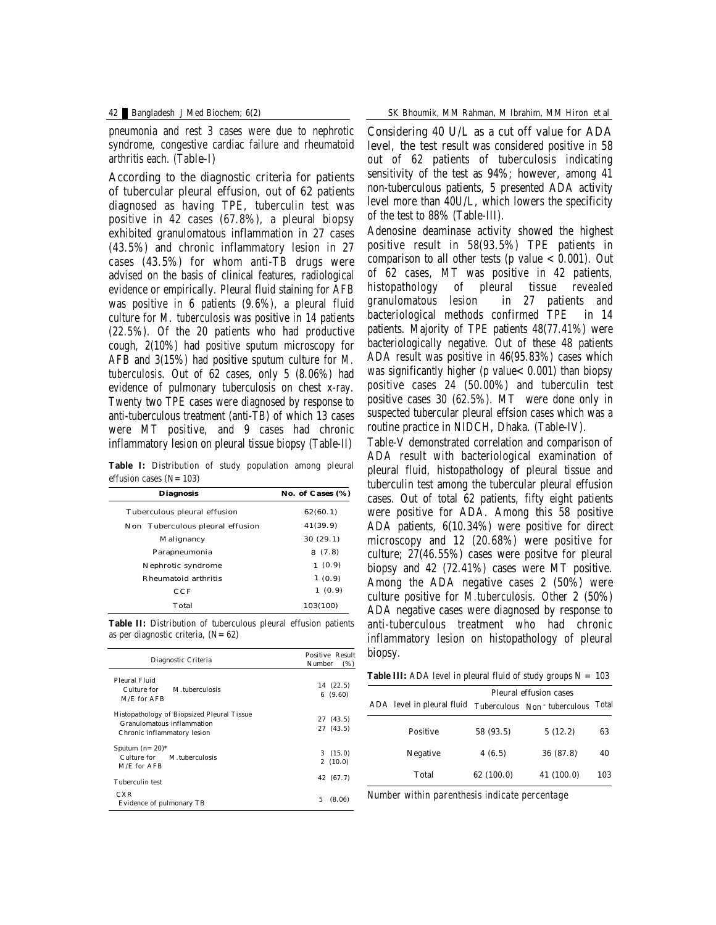pneumonia and rest 3 cases were due to nephrotic syndrome, congestive cardiac failure and rheumatoid arthritis each. (Table-I)

According to the diagnostic criteria for patients of tubercular pleural effusion, out of 62 patients diagnosed as having TPE, tuberculin test was positive in 42 cases (67.8%), a pleural biopsy exhibited granulomatous inflammation in 27 cases (43.5%) and chronic inflammatory lesion in 27 cases (43.5%) for whom anti-TB drugs were advised on the basis of clinical features, radiological evidence or empirically. Pleural fluid staining for AFB was positive in 6 patients (9.6%), a pleural fluid culture for *M. tuberculosis* was positive in 14 patients (22.5%). Of the 20 patients who had productive cough, 2(10%) had positive sputum microscopy for AFB and 3(15%) had positive sputum culture for *M. tuberculosis*. Out of 62 cases, only 5 (8.06%) had evidence of pulmonary tuberculosis on chest x-ray. Twenty two TPE cases were diagnosed by response to anti-tuberculous treatment (anti-TB) of which 13 cases were MT positive, and 9 cases had chronic inflammatory lesion on pleural tissue biopsy (Table-II)

**Table I:** Distribution of study population among pleural effusion cases  $(N=103)$ 

| <b>Diagnosis</b>                    | No. of Cases (%) |
|-------------------------------------|------------------|
| <b>Tuberculous pleural effusion</b> | 62(60.1)         |
| Non Tuberculous pleural effusion    | 41(39.9)         |
| Malignancy                          | 30(29.1)         |
| Parapneumonia                       | 8(7.8)           |
| Nephrotic syndrome                  | 1(0.9)           |
| <b>Rheumatoid arthritis</b>         | 1(0.9)           |
| $_{\rm CCF}$                        | 1(0.9)           |
| <b>Total</b>                        | 103(100)         |

**Table II:** Distribution of tuberculous pleural effusion patients as per diagnostic criteria,  $(N=62)$ 

| Diagnostic Criteria                                                                                                          | <b>Positive Result</b><br>Number<br>(%) |  |
|------------------------------------------------------------------------------------------------------------------------------|-----------------------------------------|--|
| <b>Pleural Fluid</b><br>M tuberculosis<br>Culture for<br>M/E for AFB                                                         | 14 (22.5)<br>6(9.60)                    |  |
| <b>Histopathology of Biopsized Pleural Tissue</b><br><b>Granulomatous inflammation</b><br><b>Chronic inflammatory lesion</b> | 27 (43.5)<br>27 (43.5)                  |  |
| Sputum $(n=20)^*$<br>Culture for<br><b>M.</b> tuberculosis<br><b>M/E</b> for AFB                                             | 3(15.0)<br>2(10.0)                      |  |
| Tuberculin test                                                                                                              | 42 (67.7)                               |  |
| <b>CXR</b><br><b>Evidence of pulmonary TB</b>                                                                                | 5<br>(8.06)                             |  |

Considering 40 U/L as a cut off value for ADA level, the test result was considered positive in 58 out of 62 patients of tuberculosis indicating sensitivity of the test as 94%; however, among 41 non-tuberculous patients, 5 presented ADA activity level more than 40U/L, which lowers the specificity of the test to 88% (Table-III).

Adenosine deaminase activity showed the highest positive result in 58(93.5%) TPE patients in comparison to all other tests (p value  $< 0.001$ ). Out of 62 cases, MT was positive in 42 patients, histopathology of pleural tissue revealed granulomatous lesion in 27 patients and bacteriological methods confirmed TPE in 14 patients. Majority of TPE patients 48(77.41%) were bacteriologically negative. Out of these 48 patients ADA result was positive in 46(95.83%) cases which was significantly higher ( $p$  value $< 0.001$ ) than biopsy positive cases 24 (50.00%) and tuberculin test positive cases 30 (62.5%). MT were done only in suspected tubercular pleural effsion cases which was a routine practice in NIDCH, Dhaka. (Table-IV).

Table-V demonstrated correlation and comparison of ADA result with bacteriological examination of pleural fluid, histopathology of pleural tissue and tuberculin test among the tubercular pleural effusion cases. Out of total 62 patients, fifty eight patients were positive for ADA. Among this 58 positive ADA patients, 6(10.34%) were positive for direct microscopy and 12 (20.68%) were positive for culture; 27(46.55%) cases were positve for pleural biopsy and 42 (72.41%) cases were MT positive. Among the ADA negative cases 2 (50%) were culture positive for *M.tuberculosis.* Other 2 (50%) ADA negative cases were diagnosed by response to anti-tuberculous treatment who had chronic inflammatory lesion on histopathology of pleural biopsy.

**Table III:** ADA level in pleural fluid of study groups  $N = 103$ 

|                            | <b>Pleural effusion cases</b> |            |       |
|----------------------------|-------------------------------|------------|-------|
| ADA level in pleural fluid | Tuberculous Non - tuberculous |            | Total |
| Positive                   | 58 (93.5)                     | 5(12.2)    | 63    |
| <b>Negative</b>            | 4(6.5)                        | 36 (87.8)  | 40    |
| Total                      | 62 (100.0)                    | 41 (100.0) | 103   |

*Number within parenthesis indicate percentage*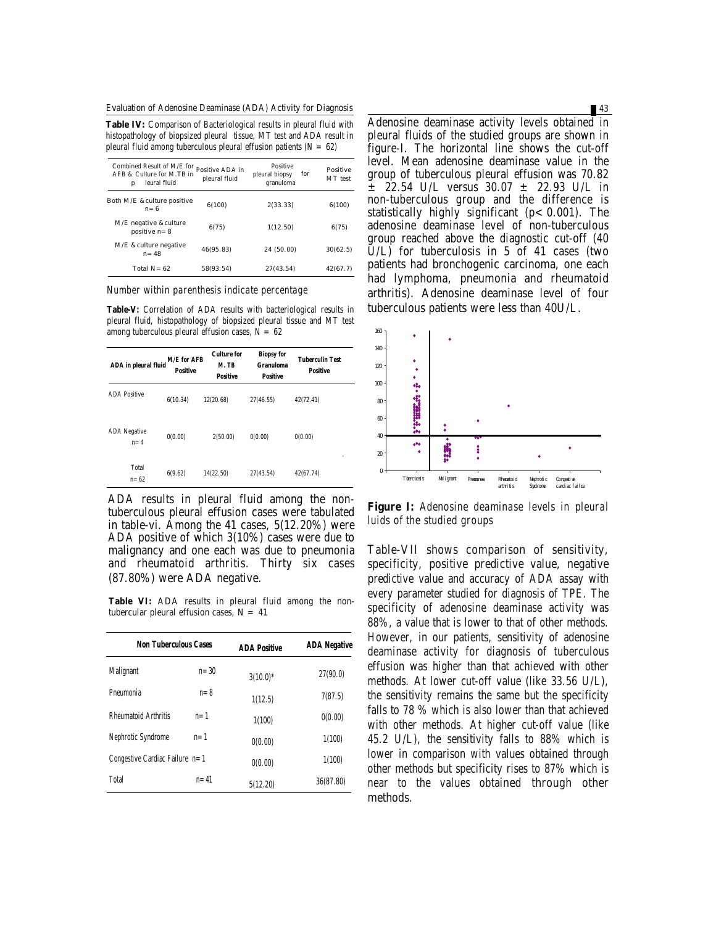Evaluation of Adenosine Deaminase (ADA) Activity for Diagnosis 43

**Table IV:** Comparison of Bacteriological results in pleural fluid with histopathology of biopsized pleural tissue, MT test and ADA result in pleural fluid among tuberculous pleural effusion patients  $(N = 62)$ 

| Combined Result of $M/E$ for Positive ADA in<br>AFB & Culture for M.TB in<br>leural fluid<br>р | pleural fluid | <b>Positive</b><br>for<br>pleural biopsy<br>granuloma | <b>Positive</b><br>MT test |
|------------------------------------------------------------------------------------------------|---------------|-------------------------------------------------------|----------------------------|
| <b>Both M/E &amp;culture positive</b><br>$n=6$                                                 | 6(100)        | 2(33.33)                                              | 6(100)                     |
| <b>M/E</b> negative & culture<br>positive $n=8$                                                | 6(75)         | 1(12.50)                                              | 6(75)                      |
| M/E & culture negative<br>$n = 48$                                                             | 46(95.83)     | 24 (50.00)                                            | 30(62.5)                   |
| Total $N = 62$                                                                                 | 58(93.54)     | 27(43.54)                                             | 42(67.7)                   |

*Number within parenthesis indicate percentage*

**Table-V:** Correlation of ADA results with bacteriological results in pleural fluid, histopathology of biopsized pleural tissue and MT test among tuberculous pleural effusion cases,  $N = 62$ 

| ADA in pleural fluid           | <b>M/E</b> for AFB<br><b>Positive</b> | <b>Culture for</b><br>M. TB<br><b>Positive</b> | <b>Biopsy for</b><br>Granuloma<br><b>Positive</b> | Tuberculin Test<br><b>Positive</b> |
|--------------------------------|---------------------------------------|------------------------------------------------|---------------------------------------------------|------------------------------------|
| <b>ADA Positive</b>            | 6(10.34)                              | 12(20.68)                                      | 27(46.55)                                         | 42(72.41)                          |
| <b>ADA</b> Negative<br>$n = 4$ | 0(0.00)                               | 2(50.00)                                       | 0(0.00)                                           | 0(0.00)                            |
| <b>Total</b><br>n= 62          | 6(9.62)                               | 14(22.50)                                      | 27(43.54)                                         | ٠<br>42(67.74)                     |

ADA results in pleural fluid among the nontuberculous pleural effusion cases were tabulated in table-vi. Among the 41 cases, 5(12.20%) were ADA positive of which 3(10%) cases were due to malignancy and one each was due to pneumonia and rheumatoid arthritis. Thirty six cases (87.80%) were ADA negative.

**Table VI:** ADA results in pleural fluid among the nontubercular pleural effusion cases,  $N = 41$ 

| <b>Non Tuberculous Cases</b>   |          | <b>ADA Positive</b> | <b>ADA Negative</b> |
|--------------------------------|----------|---------------------|---------------------|
| <b>Malignant</b>               | $n = 30$ | $3(10.0)*$          | 27(90.0)            |
| Pneumonia                      | $n = 8$  | 1(12.5)             | 7(87.5)             |
| <b>Rheumatoid Arthritis</b>    | $n=1$    | 1(100)              | 0(0.00)             |
| Nephrotic Syndrome             | $n=1$    | 0(0.00)             | 1(100)              |
| Congestive Cardiac Failure n=1 |          | 0(0.00)             | 1(100)              |
| Total                          | $n = 41$ | 5(12.20)            | 36(87.80)           |

Adenosine deaminase activity levels obtained in pleural fluids of the studied groups are shown in figure-I. The horizontal line shows the cut-off level. Mean adenosine deaminase value in the group of tuberculous pleural effusion was 70.82  $\pm$  22.54 U/L versus 30.07  $\pm$  22.93 U/L in non-tuberculous group and the difference is statistically highly significant  $(p < 0.001)$ . The adenosine deaminase level of non-tuberculous group reached above the diagnostic cut-off (40  $\check{U}/L$ ) for tuberculosis in 5 of 41 cases (two patients had bronchogenic carcinoma, one each had lymphoma, pneumonia and rheumatoid arthritis). Adenosine deaminase level of four tuberculous patients were less than 40U/L.



**Figure I:** *Adenosine deaminase levels in pleural luids of the studied groups*

Table-VII shows comparison of sensitivity, specificity, positive predictive value, negative predictive value and accuracy of ADA assay with every parameter studied for diagnosis of TPE. The specificity of adenosine deaminase activity was 88%, a value that is lower to that of other methods. However, in our patients, sensitivity of adenosine deaminase activity for diagnosis of tuberculous effusion was higher than that achieved with other methods. At lower cut-off value (like 33.56 U/L), the sensitivity remains the same but the specificity falls to 78 % which is also lower than that achieved with other methods. At higher cut-off value (like 45.2 U/L), the sensitivity falls to 88% which is lower in comparison with values obtained through other methods but specificity rises to 87% which is near to the values obtained through other methods.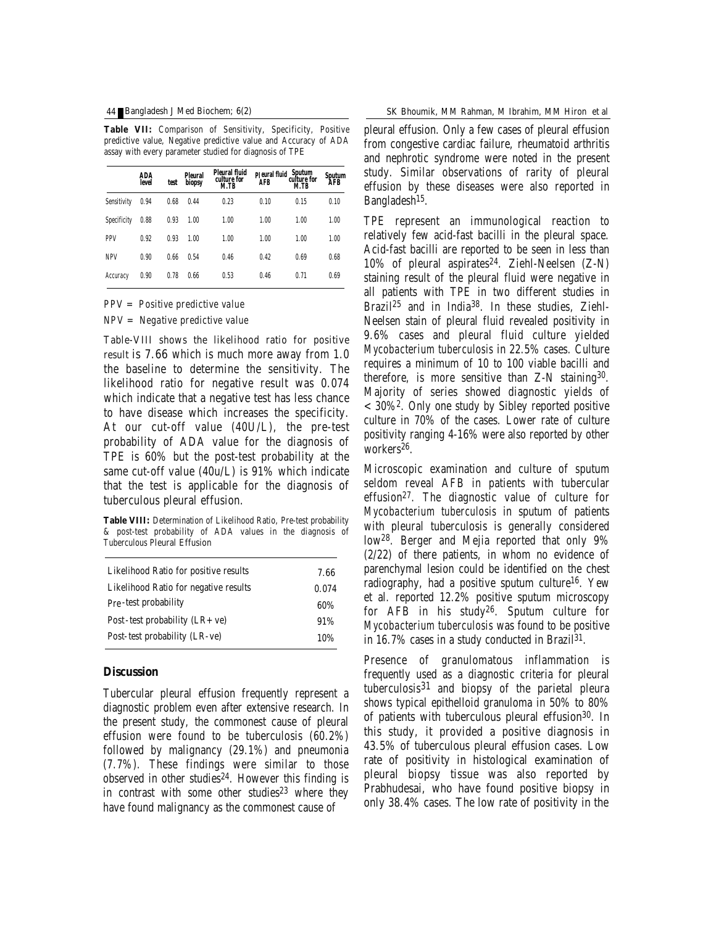## 44 Bangladesh J Med Biochem; 6(2)

**Table VII:** Comparison of Sensitivity, Specificity, Positive predictive value, Negative predictive value and Accuracy of ADA assay with every parameter studied for diagnosis of TPE

|                    | ADA<br>level | test | <b>Pleural</b><br>biopsy | Pleural fluid<br>culture for<br><b>M.TB</b> | <b>AFB</b> | p eural fluid Sputum<br>culture for<br><b>M.TB</b> | Svutum<br>AFB |
|--------------------|--------------|------|--------------------------|---------------------------------------------|------------|----------------------------------------------------|---------------|
| <b>Sensitivity</b> | 0.94         | 0.68 | 0.44                     | 0.23                                        | 0.10       | 0.15                                               | 0.10          |
| Specificity        | 0.88         | 0.93 | 1.00                     | 1.00                                        | 1.00       | 1.00                                               | 1.00          |
| <b>PPV</b>         | 0.92         | 0.93 | 1.00                     | 1.00                                        | 1.00       | 1.00                                               | 1.00          |
| <b>NPV</b>         | 0.90         | 0.66 | 0.54                     | 0.46                                        | 0.42       | 0.69                                               | 0.68          |
| Accuracy           | 0.90         | 0.78 | 0.66                     | 0.53                                        | 0.46       | 0.71                                               | 0.69          |

*PPV = Positive predictive value*

*NPV = Negative predictive value*

Table-VIII shows the likelihood ratio for positive result is 7.66 which is much more away from 1.0 the baseline to determine the sensitivity. The likelihood ratio for negative result was 0.074 which indicate that a negative test has less chance to have disease which increases the specificity. At our cut-off value (40U/L), the pre-test probability of ADA value for the diagnosis of TPE is 60% but the post-test probability at the same cut-off value (40u/L) is 91% which indicate that the test is applicable for the diagnosis of tuberculous pleural effusion.

**Table VIII:** Determination of Likelihood Ratio, Pre-test probability & post-test probability of ADA values in the diagnosis of Tuberculous Pleural Effusion

| Likelihood Ratio for positive results | 7.66  |
|---------------------------------------|-------|
| Likelihood Ratio for negative results | 0.074 |
| Pre-test probability                  | 60%   |
| Post-test probability $(LR + ve)$     | 91%   |
| Post-test probability (LR-ve)         | 10%   |

### **Discussion**

Tubercular pleural effusion frequently represent a diagnostic problem even after extensive research. In the present study, the commonest cause of pleural effusion were found to be tuberculosis (60.2%) followed by malignancy (29.1%) and pneumonia (7.7%). These findings were similar to those observed in other studies<sup>24</sup>. However this finding is in contrast with some other studies $23$  where they have found malignancy as the commonest cause of

pleural effusion. Only a few cases of pleural effusion from congestive cardiac failure, rheumatoid arthritis and nephrotic syndrome were noted in the present study. Similar observations of rarity of pleural effusion by these diseases were also reported in Bangladesh15.

TPE represent an immunological reaction to relatively few acid-fast bacilli in the pleural space. Acid-fast bacilli are reported to be seen in less than  $10\%$  of pleural aspirates<sup>24</sup>. Ziehl-Neelsen  $(Z-N)$ staining result of the pleural fluid were negative in all patients with TPE in two different studies in Brazil<sup>25</sup> and in India38. In these studies, Ziehl-Neelsen stain of pleural fluid revealed positivity in 9.6% cases and pleural fluid culture yielded *Mycobacterium tuberculosis* in 22.5% cases. Culture requires a minimum of 10 to 100 viable bacilli and therefore, is more sensitive than Z-N staining30. Majority of series showed diagnostic yields of  $<$  30%<sup>2</sup>. Only one study by Sibley reported positive culture in 70% of the cases. Lower rate of culture positivity ranging 4-16% were also reported by other workers<sup>26</sup>.

Microscopic examination and culture of sputum seldom reveal AFB in patients with tubercular effusion27. The diagnostic value of culture for *Mycobacterium tuberculosis* in sputum of patients with pleural tuberculosis is generally considered low28. Berger and Mejia reported that only 9% (2/22) of there patients, in whom no evidence of parenchymal lesion could be identified on the chest radiography, had a positive sputum culture<sup>16</sup>. Yew et al. reported 12.2% positive sputum microscopy for AFB in his study26. Sputum culture for *Mycobacterium tuberculosis* was found to be positive in 16.7% cases in a study conducted in Brazil $31$ .

Presence of granulomatous inflammation is frequently used as a diagnostic criteria for pleural tuberculosis31 and biopsy of the parietal pleura shows typical epithelloid granuloma in 50% to 80% of patients with tuberculous pleural effusion<sup>30</sup>. In this study, it provided a positive diagnosis in 43.5% of tuberculous pleural effusion cases. Low rate of positivity in histological examination of pleural biopsy tissue was also reported by Prabhudesai, who have found positive biopsy in only 38.4% cases. The low rate of positivity in the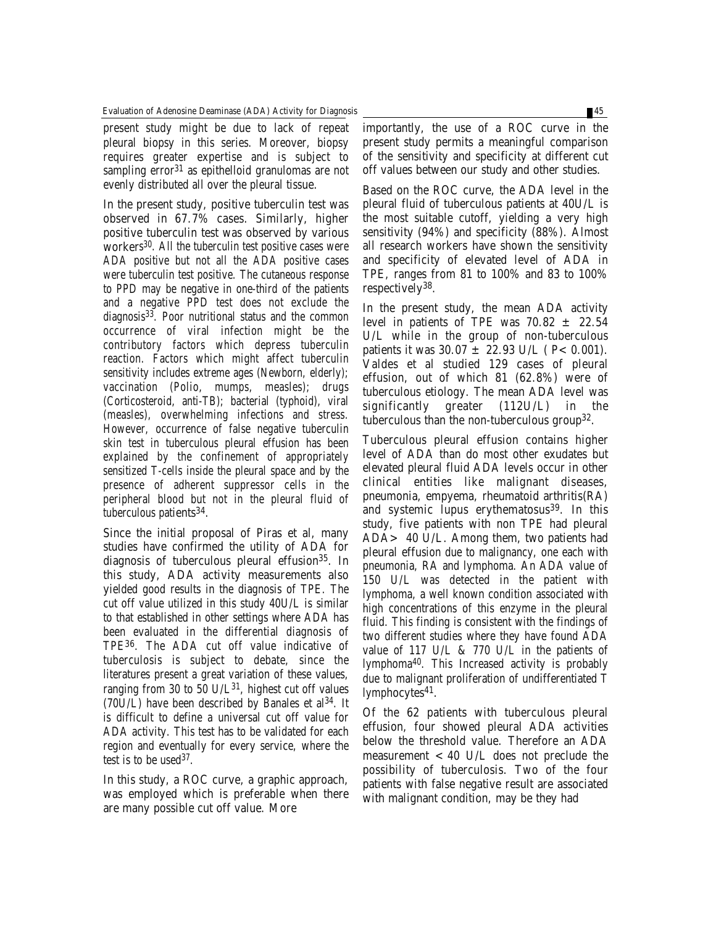present study might be due to lack of repeat pleural biopsy in this series. Moreover, biopsy requires greater expertise and is subject to sampling error<sup>31</sup> as epithelloid granulomas are not evenly distributed all over the pleural tissue.

In the present study, positive tuberculin test was observed in 67.7% cases. Similarly, higher positive tuberculin test was observed by various workers30. All the tuberculin test positive cases were ADA positive but not all the ADA positive cases were tuberculin test positive. The cutaneous response to PPD may be negative in one-third of the patients and a negative PPD test does not exclude the diagnosis33. Poor nutritional status and the common occurrence of viral infection might be the contributory factors which depress tuberculin reaction. Factors which might affect tuberculin sensitivity includes extreme ages (Newborn, elderly); vaccination (Polio, mumps, measles); drugs (Corticosteroid, anti-TB); bacterial (typhoid), viral (measles), overwhelming infections and stress. However, occurrence of false negative tuberculin skin test in tuberculous pleural effusion has been explained by the confinement of appropriately sensitized T-cells inside the pleural space and by the presence of adherent suppressor cells in the peripheral blood but not in the pleural fluid of tuberculous patients<sup>34</sup>.

Since the initial proposal of Piras et al, many studies have confirmed the utility of ADA for diagnosis of tuberculous pleural effusion35. In this study, ADA activity measurements also yielded good results in the diagnosis of TPE. The cut off value utilized in this study 40U/L is similar to that established in other settings where ADA has been evaluated in the differential diagnosis of TPE36. The ADA cut off value indicative of tuberculosis is subject to debate, since the literatures present a great variation of these values, ranging from 30 to 50 U/L<sup>31</sup>, highest cut off values (70U/L) have been described by Banales et al 34. It is difficult to define a universal cut off value for ADA activity. This test has to be validated for each region and eventually for every service, where the test is to be used<sup>37</sup>.

In this study, a ROC curve, a graphic approach, was employed which is preferable when there are many possible cut off value. More

importantly, the use of a ROC curve in the present study permits a meaningful comparison of the sensitivity and specificity at different cut off values between our study and other studies.

Based on the ROC curve, the ADA level in the pleural fluid of tuberculous patients at 40U/L is the most suitable cutoff, yielding a very high sensitivity (94%) and specificity (88%). Almost all research workers have shown the sensitivity and specificity of elevated level of ADA in TPE, ranges from 81 to 100% and 83 to 100% respectively38.

In the present study, the mean ADA activity level in patients of TPE was  $70.82 \pm 22.54$ U/L while in the group of non-tuberculous patients it was  $30.07 \pm 22.93$  U/L ( $P < 0.001$ ). Valdes et al studied 129 cases of pleural effusion, out of which 81 (62.8%) were of tuberculous etiology. The mean ADA level was significantly greater (112U/L) in the tuberculous than the non-tuberculous group32.

Tuberculous pleural effusion contains higher level of ADA than do most other exudates but elevated pleural fluid ADA levels occur in other clinical entities like malignant diseases, pneumonia, empyema, rheumatoid arthritis(RA) and systemic lupus erythematosus<sup>39</sup>. In this study, five patients with non TPE had pleural ADA> 40 U/L. Among them, two patients had pleural effusion due to malignancy, one each with pneumonia, RA and lymphoma. An ADA value of 150 U/L was detected in the patient with lymphoma, a well known condition associated with high concentrations of this enzyme in the pleural fluid. This finding is consistent with the findings of two different studies where they have found ADA value of 117 U/L & 770 U/L in the patients of lymphoma40. This Increased activity is probably due to malignant proliferation of undifferentiated T lymphocytes<sup>41</sup>.

Of the 62 patients with tuberculous pleural effusion, four showed pleural ADA activities below the threshold value. Therefore an ADA measurement  $< 40$  U/L does not preclude the possibility of tuberculosis. Two of the four patients with false negative result are associated with malignant condition, may be they had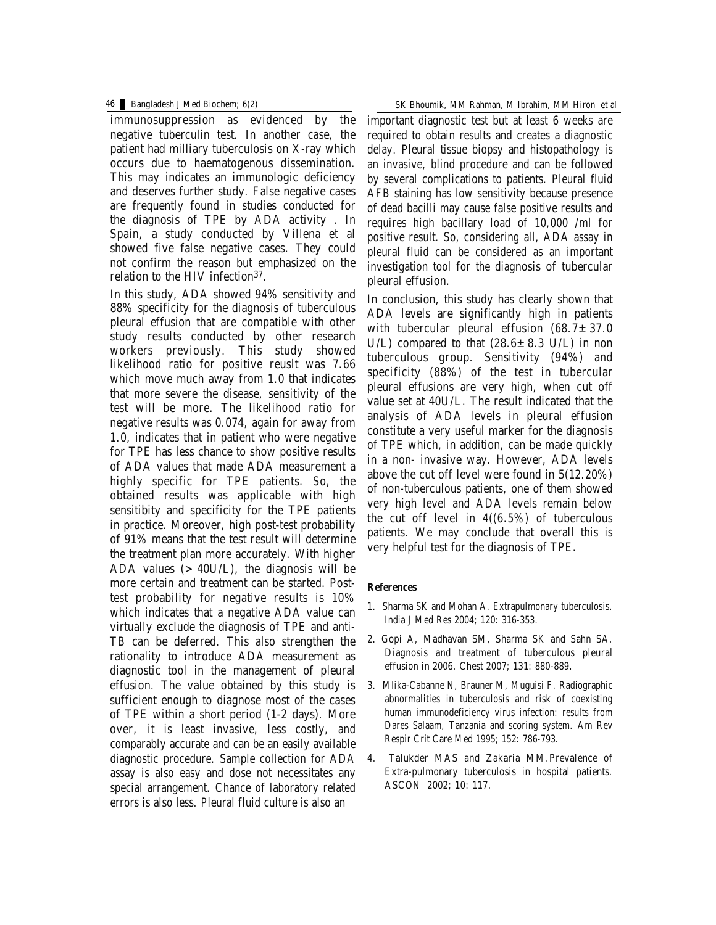immunosuppression as evidenced by the negative tuberculin test. In another case, the patient had milliary tuberculosis on X-ray which occurs due to haematogenous dissemination. This may indicates an immunologic deficiency and deserves further study. False negative cases are frequently found in studies conducted for the diagnosis of TPE by ADA activity . In Spain, a study conducted by Villena et al showed five false negative cases. They could not confirm the reason but emphasized on the relation to the HIV infection<sup>37</sup>.

In this study, ADA showed 94% sensitivity and 88% specificity for the diagnosis of tuberculous pleural effusion that are compatible with other study results conducted by other research workers previously. This study showed likelihood ratio for positive reuslt was 7.66 which move much away from 1.0 that indicates that more severe the disease, sensitivity of the test will be more. The likelihood ratio for negative results was 0.074, again for away from 1.0, indicates that in patient who were negative for TPE has less chance to show positive results of ADA values that made ADA measurement a highly specific for TPE patients. So, the obtained results was applicable with high sensitibity and specificity for the TPE patients in practice. Moreover, high post-test probability of 91% means that the test result will determine the treatment plan more accurately. With higher ADA values  $(>40U/L)$ , the diagnosis will be more certain and treatment can be started. Posttest probability for negative results is 10% which indicates that a negative ADA value can virtually exclude the diagnosis of TPE and anti-TB can be deferred. This also strengthen the rationality to introduce ADA measurement as diagnostic tool in the management of pleural effusion. The value obtained by this study is sufficient enough to diagnose most of the cases of TPE within a short period (1-2 days). More over, it is least invasive, less costly, and comparably accurate and can be an easily available diagnostic procedure. Sample collection for ADA assay is also easy and dose not necessitates any special arrangement. Chance of laboratory related errors is also less. Pleural fluid culture is also an

46 Bangladesh J Med Biochem; 6(2) SK Bhoumik, MM Rahman, M Ibrahim, MM Hiron et al

important diagnostic test but at least 6 weeks are required to obtain results and creates a diagnostic delay. Pleural tissue biopsy and histopathology is an invasive, blind procedure and can be followed by several complications to patients. Pleural fluid AFB staining has low sensitivity because presence of dead bacilli may cause false positive results and requires high bacillary load of 10,000 /ml for positive result. So, considering all, ADA assay in pleural fluid can be considered as an important investigation tool for the diagnosis of tubercular pleural effusion.

In conclusion, this study has clearly shown that ADA levels are significantly high in patients with tubercular pleural effusion  $(68.7 \pm 37.0)$ U/L) compared to that  $(28.6 \pm 8.3 \text{ U/L})$  in non tuberculous group. Sensitivity (94%) and specificity (88%) of the test in tubercular pleural effusions are very high, when cut off value set at 40U/L. The result indicated that the analysis of ADA levels in pleural effusion constitute a very useful marker for the diagnosis of TPE which, in addition, can be made quickly in a non- invasive way. However, ADA levels above the cut off level were found in 5(12.20%) of non-tuberculous patients, one of them showed very high level and ADA levels remain below the cut off level in 4((6.5%) of tuberculous patients. We may conclude that overall this is very helpful test for the diagnosis of TPE.

### **References**

- 1. Sharma SK and Mohan A. Extrapulmonary tuberculosis. India J Med Res 2004; 120: 316-353.
- 2. Gopi A, Madhavan SM, Sharma SK and Sahn SA. Diagnosis and treatment of tuberculous pleural effusion in 2006. Chest 2007; 131: 880-889.
- 3. Mlika-Cabanne N, Brauner M, Muguisi F. Radiographic abnormalities in tuberculosis and risk of coexisting human immunodeficiency virus infection: results from Dares Salaam, Tanzania and scoring system. Am Rev Respir Crit Care Med 1995; 152: 786-793.
- 4. Talukder MAS and Zakaria MM.Prevalence of Extra-pulmonary tuberculosis in hospital patients. ASCON 2002; 10: 117.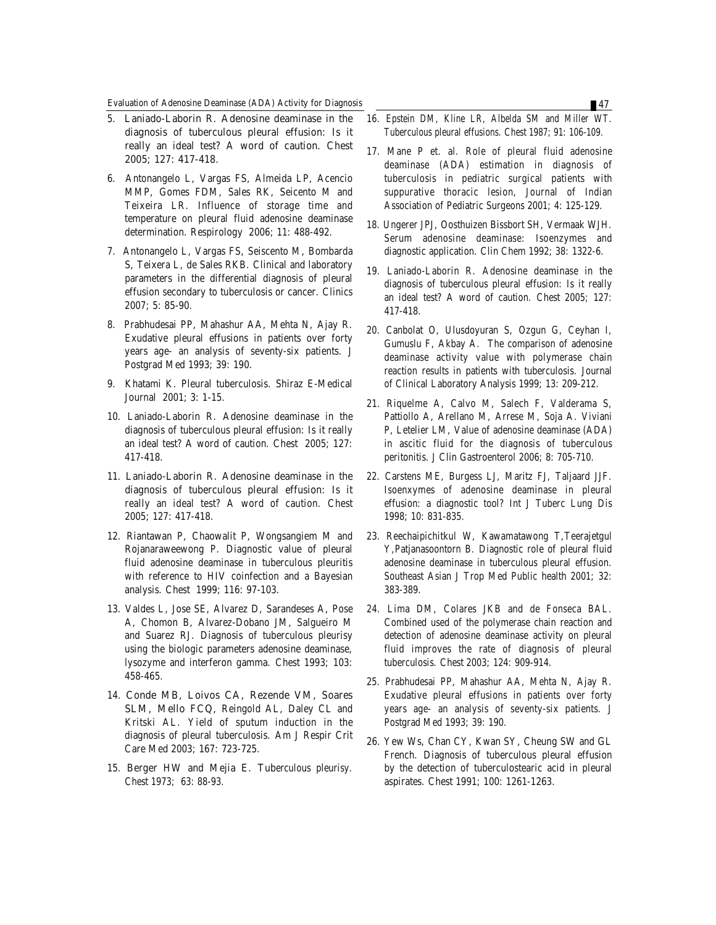- 5. Laniado-Laborin R. Adenosine deaminase in the diagnosis of tuberculous pleural effusion: Is it really an ideal test? A word of caution. Chest 2005; 127: 417-418.
- 6. Antonangelo L, Vargas FS, Almeida LP, Acencio MMP, Gomes FDM, Sales RK, Seicento M and Teixeira LR. Influence of storage time and temperature on pleural fluid adenosine deaminase determination. Respirology 2006; 11: 488-492.
- 7. Antonangelo L, Vargas FS, Seiscento M, Bombarda S, Teixera L, de Sales RKB. Clinical and laboratory parameters in the differential diagnosis of pleural effusion secondary to tuberculosis or cancer. Clinics 2007; 5: 85-90.
- 8. Prabhudesai PP, Mahashur AA, Mehta N, Ajay R. Exudative pleural effusions in patients over forty years age- an analysis of seventy-six patients. J Postgrad Med 1993; 39: 190.
- 9. Khatami K. Pleural tuberculosis. Shiraz E-Medical Journal 2001; 3: 1-15.
- 10. Laniado-Laborin R. Adenosine deaminase in the diagnosis of tuberculous pleural effusion: Is it really an ideal test? A word of caution. Chest 2005; 127: 417-418.
- 11. Laniado-Laborin R. Adenosine deaminase in the diagnosis of tuberculous pleural effusion: Is it really an ideal test? A word of caution. Chest 2005; 127: 417-418.
- 12. Riantawan P, Chaowalit P, Wongsangiem M and Rojanaraweewong P. Diagnostic value of pleural fluid adenosine deaminase in tuberculous pleuritis with reference to HIV coinfection and a Bayesian analysis. Chest 1999; 116: 97-103.
- 13. Valdes L, Jose SE, Alvarez D, Sarandeses A, Pose A, Chomon B, Alvarez-Dobano JM, Salgueiro M and Suarez RJ. Diagnosis of tuberculous pleurisy using the biologic parameters adenosine deaminase, lysozyme and interferon gamma. Chest 1993; 103: 458-465.
- 14. Conde MB, Loivos CA, Rezende VM, Soares SLM, Mello FCQ, Reingold AL, Daley CL and Kritski AL. Yield of sputum induction in the diagnosis of pleural tuberculosis. Am J Respir Crit Care Med 2003; 167: 723-725.
- 15. Berger HW and Mejia E. Tuberculous pleurisy. Chest 1973; 63: 88-93.
- 16. Epstein DM, Kline LR, Albelda SM and Miller WT. Tuberculous pleural effusions. Chest 1987; 91: 106-109.
- 17. Mane P et. al. Role of pleural fluid adenosine deaminase (ADA) estimation in diagnosis of tuberculosis in pediatric surgical patients with suppurative thoracic lesion, Journal of Indian Association of Pediatric Surgeons 2001; 4: 125-129.
- 18. Ungerer JPJ, Oosthuizen Bissbort SH, Vermaak WJH. Serum adenosine deaminase: Isoenzymes and diagnostic application. Clin Chem 1992; 38: 1322-6.
- 19. Laniado-Laborin R. Adenosine deaminase in the diagnosis of tuberculous pleural effusion: Is it really an ideal test? A word of caution. Chest 2005; 127: 417-418.
- 20. Canbolat O, Ulusdoyuran S, Ozgun G, Ceyhan I, Gumuslu F, Akbay A. The comparison of adenosine deaminase activity value with polymerase chain reaction results in patients with tuberculosis. Journal of Clinical Laboratory Analysis 1999; 13: 209-212.
- 21. Riquelme A, Calvo M, Salech F, Valderama S, Pattiollo A, Arellano M, Arrese M, Soja A. Viviani P, Letelier LM, Value of adenosine deaminase (ADA) in ascitic fluid for the diagnosis of tuberculous peritonitis. J Clin Gastroenterol 2006; 8: 705-710.
- 22. Carstens ME, Burgess LJ, Maritz FJ, Taljaard JJF. Isoenxymes of adenosine deaminase in pleural effusion: a diagnostic tool? Int J Tuberc Lung Dis 1998; 10: 831-835.
- 23. Reechaipichitkul W, Kawamatawong T,Teerajetgul Y,Patjanasoontorn B. Diagnostic role of pleural fluid adenosine deaminase in tuberculous pleural effusion. Southeast Asian J Trop Med Public health 2001; 32: 383-389.
- 24. Lima DM, Colares JKB and de Fonseca BAL. Combined used of the polymerase chain reaction and detection of adenosine deaminase activity on pleural fluid improves the rate of diagnosis of pleural tuberculosis. Chest 2003; 124: 909-914.
- 25. Prabhudesai PP, Mahashur AA, Mehta N, Ajay R. Exudative pleural effusions in patients over forty years age- an analysis of seventy-six patients. J Postgrad Med 1993; 39: 190.
- 26. Yew Ws, Chan CY, Kwan SY, Cheung SW and GL French. Diagnosis of tuberculous pleural effusion by the detection of tuberculostearic acid in pleural aspirates. Chest 1991; 100: 1261-1263.